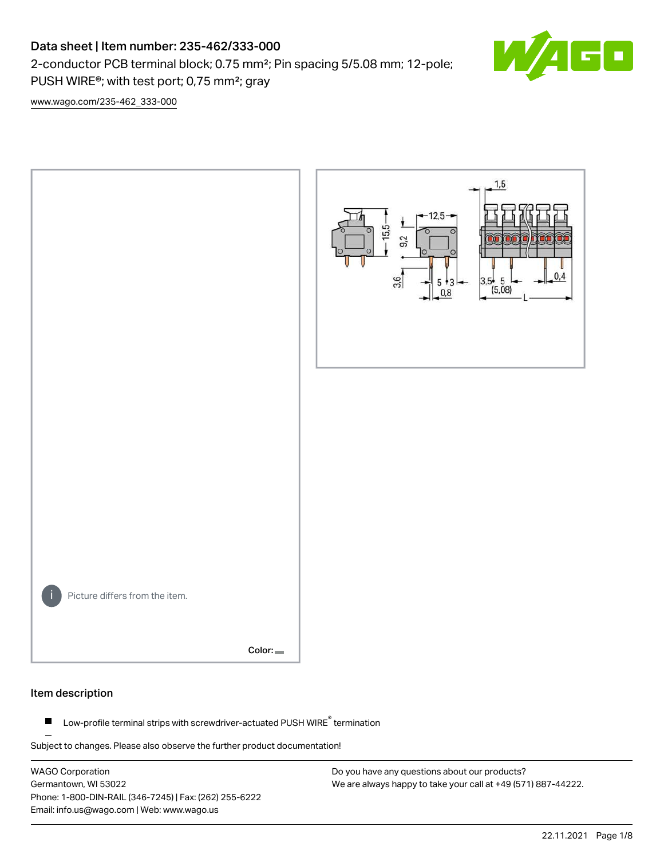## Data sheet | Item number: 235-462/333-000

2-conductor PCB terminal block; 0.75 mm²; Pin spacing 5/5.08 mm; 12-pole; PUSH WIRE®; with test port; 0,75 mm²; gray



[www.wago.com/235-462\\_333-000](http://www.wago.com/235-462_333-000)



#### Item description

Low-profile terminal strips with screwdriver-actuated PUSH WIRE® termination  $\blacksquare$ 

Subject to changes. Please also observe the further product documentation!

WAGO Corporation Germantown, WI 53022 Phone: 1-800-DIN-RAIL (346-7245) | Fax: (262) 255-6222 Email: info.us@wago.com | Web: www.wago.us

Do you have any questions about our products? We are always happy to take your call at +49 (571) 887-44222.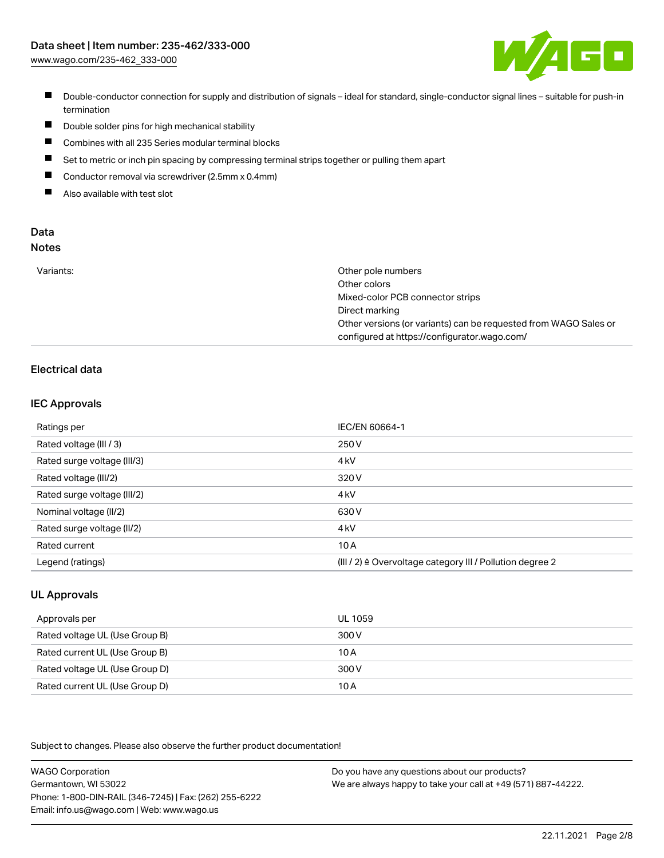

- Double-conductor connection for supply and distribution of signals ideal for standard, single-conductor signal lines suitable for push-in termination
- $\blacksquare$ Double solder pins for high mechanical stability
- $\blacksquare$ Combines with all 235 Series modular terminal blocks
- $\blacksquare$ Set to metric or inch pin spacing by compressing terminal strips together or pulling them apart
- $\blacksquare$ Conductor removal via screwdriver (2.5mm x 0.4mm)
- $\blacksquare$ Also available with test slot

#### Data Notes

| w<br>۰, | ×<br>v<br>۰.<br>۰. | w<br>۰. |
|---------|--------------------|---------|
|         |                    |         |

| Variants: | Other pole numbers                                               |
|-----------|------------------------------------------------------------------|
|           | Other colors                                                     |
|           | Mixed-color PCB connector strips                                 |
|           | Direct marking                                                   |
|           | Other versions (or variants) can be requested from WAGO Sales or |
|           | configured at https://configurator.wago.com/                     |

### Electrical data

#### IEC Approvals

| Ratings per                 | IEC/EN 60664-1                                                        |
|-----------------------------|-----------------------------------------------------------------------|
| Rated voltage (III / 3)     | 250 V                                                                 |
| Rated surge voltage (III/3) | 4 <sub>kV</sub>                                                       |
| Rated voltage (III/2)       | 320 V                                                                 |
| Rated surge voltage (III/2) | 4 <sub>kV</sub>                                                       |
| Nominal voltage (II/2)      | 630 V                                                                 |
| Rated surge voltage (II/2)  | 4 <sub>kV</sub>                                                       |
| Rated current               | 10A                                                                   |
| Legend (ratings)            | $(III / 2)$ $\triangle$ Overvoltage category III / Pollution degree 2 |

#### UL Approvals

| Approvals per                  | UL 1059 |
|--------------------------------|---------|
| Rated voltage UL (Use Group B) | 300 V   |
| Rated current UL (Use Group B) | 10 A    |
| Rated voltage UL (Use Group D) | 300 V   |
| Rated current UL (Use Group D) | 10 A    |

Subject to changes. Please also observe the further product documentation!

| <b>WAGO Corporation</b>                                | Do you have any questions about our products?                 |
|--------------------------------------------------------|---------------------------------------------------------------|
| Germantown, WI 53022                                   | We are always happy to take your call at +49 (571) 887-44222. |
| Phone: 1-800-DIN-RAIL (346-7245)   Fax: (262) 255-6222 |                                                               |
| Email: info.us@wago.com   Web: www.wago.us             |                                                               |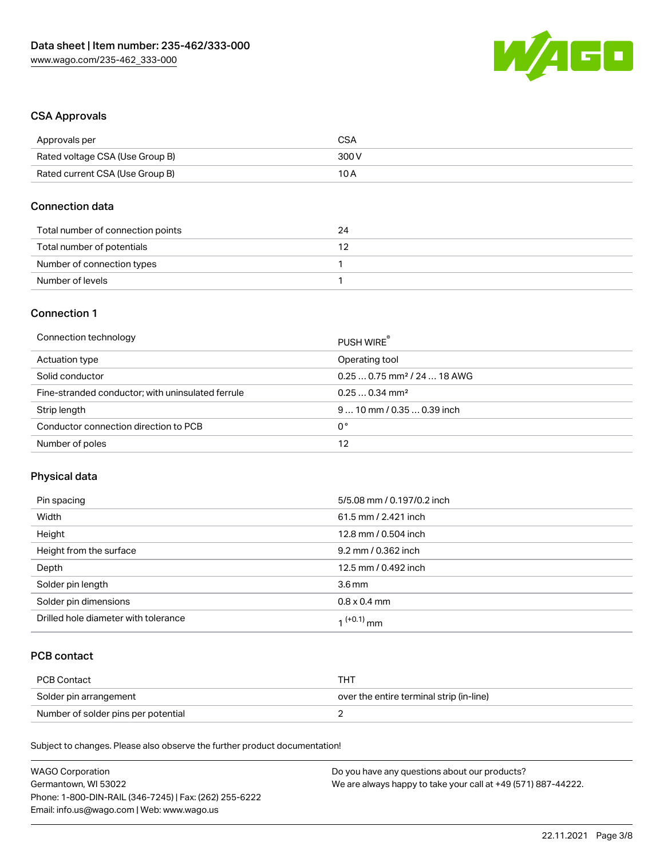

#### CSA Approvals

| Approvals per                   | <b>CSA</b> |
|---------------------------------|------------|
| Rated voltage CSA (Use Group B) | 300 V      |
| Rated current CSA (Use Group B) | 10 A       |

#### Connection data

| Total number of connection points | 24 |
|-----------------------------------|----|
| Total number of potentials        |    |
| Number of connection types        |    |
| Number of levels                  |    |

#### Connection 1

| Connection technology                             | PUSH WIRE                               |
|---------------------------------------------------|-----------------------------------------|
| Actuation type                                    | Operating tool                          |
| Solid conductor                                   | $0.250.75$ mm <sup>2</sup> / 24  18 AWG |
| Fine-stranded conductor; with uninsulated ferrule | $0.250.34$ mm <sup>2</sup>              |
| Strip length                                      | $910$ mm $/0.350.39$ inch               |
| Conductor connection direction to PCB             | 0°                                      |
| Number of poles                                   | 12                                      |

#### Physical data

| Pin spacing                          | 5/5.08 mm / 0.197/0.2 inch |
|--------------------------------------|----------------------------|
| Width                                | 61.5 mm / 2.421 inch       |
| Height                               | 12.8 mm / 0.504 inch       |
| Height from the surface              | 9.2 mm / 0.362 inch        |
| Depth                                | 12.5 mm / 0.492 inch       |
| Solder pin length                    | $3.6 \,\mathrm{mm}$        |
| Solder pin dimensions                | $0.8 \times 0.4$ mm        |
| Drilled hole diameter with tolerance | 1 <sup>(+0.1)</sup> mm     |

## PCB contact

| PCB Contact                         | TH .                                     |
|-------------------------------------|------------------------------------------|
| Solder pin arrangement              | over the entire terminal strip (in-line) |
| Number of solder pins per potential |                                          |

Subject to changes. Please also observe the further product documentation!

| <b>WAGO Corporation</b>                                | Do you have any questions about our products?                 |
|--------------------------------------------------------|---------------------------------------------------------------|
| Germantown, WI 53022                                   | We are always happy to take your call at +49 (571) 887-44222. |
| Phone: 1-800-DIN-RAIL (346-7245)   Fax: (262) 255-6222 |                                                               |
| Email: info.us@wago.com   Web: www.wago.us             |                                                               |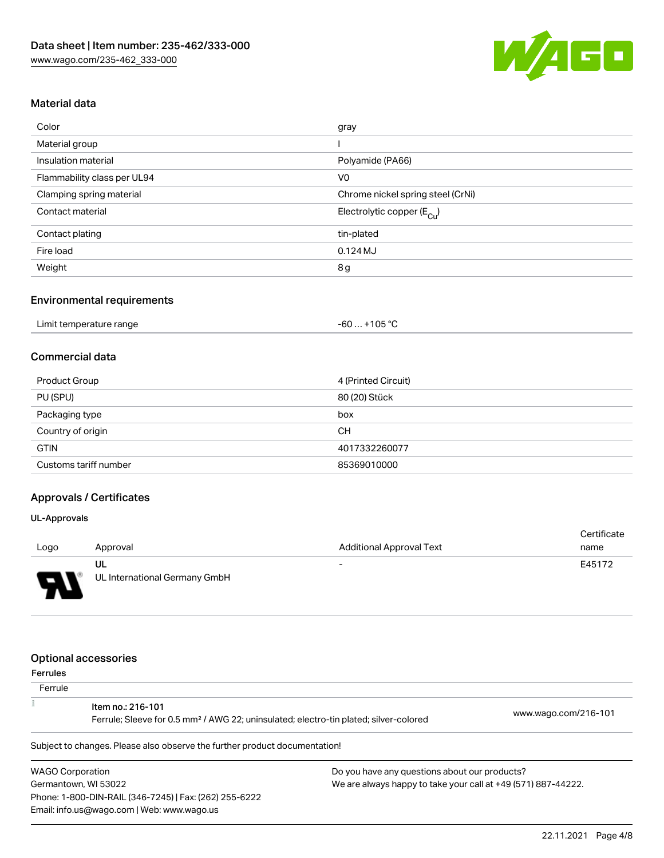

#### Material data

| Color                       | gray                                  |
|-----------------------------|---------------------------------------|
| Material group              |                                       |
| Insulation material         | Polyamide (PA66)                      |
| Flammability class per UL94 | V <sub>0</sub>                        |
| Clamping spring material    | Chrome nickel spring steel (CrNi)     |
| Contact material            | Electrolytic copper $(E_{\text{Cl}})$ |
| Contact plating             | tin-plated                            |
| Fire load                   | $0.124M$ J                            |
| Weight                      | 8g                                    |

#### Environmental requirements

| Limit temperature range | +105 °C |
|-------------------------|---------|
|                         | -60     |
|                         |         |

#### Commercial data

| Product Group         | 4 (Printed Circuit) |
|-----------------------|---------------------|
| PU (SPU)              | 80 (20) Stück       |
| Packaging type        | box                 |
| Country of origin     | CН                  |
| <b>GTIN</b>           | 4017332260077       |
| Customs tariff number | 85369010000         |

## Approvals / Certificates

#### UL-Approvals

|        |                               |                                 | Certificate |
|--------|-------------------------------|---------------------------------|-------------|
| Logo   | Approval                      | <b>Additional Approval Text</b> | name        |
|        | UL                            | $\overline{\phantom{0}}$        | E45172      |
| $\Box$ | UL International Germany GmbH |                                 |             |

#### Optional accessories

Email: info.us@wago.com | Web: www.wago.us

| Ferrules |  |
|----------|--|
|----------|--|

| .<br>Ferrule                                           |                                                                                                                        |                                                               |                      |
|--------------------------------------------------------|------------------------------------------------------------------------------------------------------------------------|---------------------------------------------------------------|----------------------|
|                                                        | Item no.: 216-101<br>Ferrule; Sleeve for 0.5 mm <sup>2</sup> / AWG 22; uninsulated; electro-tin plated; silver-colored |                                                               | www.wago.com/216-101 |
|                                                        | Subject to changes. Please also observe the further product documentation!                                             |                                                               |                      |
| <b>WAGO Corporation</b>                                |                                                                                                                        | Do you have any questions about our products?                 |                      |
| Germantown, WI 53022                                   |                                                                                                                        | We are always happy to take your call at +49 (571) 887-44222. |                      |
| Phone: 1-800-DIN-RAIL (346-7245)   Fax: (262) 255-6222 |                                                                                                                        |                                                               |                      |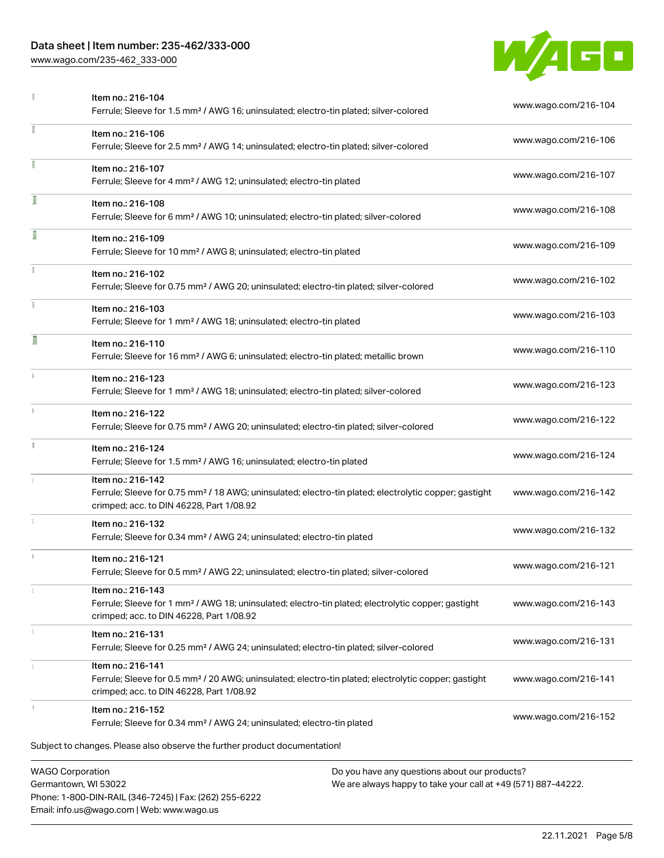### Data sheet | Item number: 235-462/333-000

Phone: 1-800-DIN-RAIL (346-7245) | Fax: (262) 255-6222

Email: info.us@wago.com | Web: www.wago.us

[www.wago.com/235-462\\_333-000](http://www.wago.com/235-462_333-000)



|                         | Item no.: 216-104<br>Ferrule; Sleeve for 1.5 mm <sup>2</sup> / AWG 16; uninsulated; electro-tin plated; silver-colored                                                             |                                                                                                                | www.wago.com/216-104 |
|-------------------------|------------------------------------------------------------------------------------------------------------------------------------------------------------------------------------|----------------------------------------------------------------------------------------------------------------|----------------------|
| ı                       | Item no.: 216-106<br>Ferrule; Sleeve for 2.5 mm <sup>2</sup> / AWG 14; uninsulated; electro-tin plated; silver-colored                                                             |                                                                                                                | www.wago.com/216-106 |
| î.                      | Item no.: 216-107<br>Ferrule; Sleeve for 4 mm <sup>2</sup> / AWG 12; uninsulated; electro-tin plated                                                                               |                                                                                                                | www.wago.com/216-107 |
|                         | Item no.: 216-108<br>Ferrule; Sleeve for 6 mm <sup>2</sup> / AWG 10; uninsulated; electro-tin plated; silver-colored                                                               |                                                                                                                | www.wago.com/216-108 |
| ſ                       | Item no.: 216-109<br>Ferrule; Sleeve for 10 mm <sup>2</sup> / AWG 8; uninsulated; electro-tin plated                                                                               |                                                                                                                | www.wago.com/216-109 |
|                         | Item no.: 216-102<br>Ferrule; Sleeve for 0.75 mm <sup>2</sup> / AWG 20; uninsulated; electro-tin plated; silver-colored                                                            |                                                                                                                | www.wago.com/216-102 |
|                         | Item no.: 216-103<br>Ferrule; Sleeve for 1 mm <sup>2</sup> / AWG 18; uninsulated; electro-tin plated                                                                               |                                                                                                                | www.wago.com/216-103 |
| Π                       | Item no.: 216-110<br>Ferrule; Sleeve for 16 mm <sup>2</sup> / AWG 6; uninsulated; electro-tin plated; metallic brown                                                               |                                                                                                                | www.wago.com/216-110 |
| ī.                      | Item no.: 216-123<br>Ferrule; Sleeve for 1 mm <sup>2</sup> / AWG 18; uninsulated; electro-tin plated; silver-colored                                                               |                                                                                                                | www.wago.com/216-123 |
| î.                      | Item no.: 216-122<br>Ferrule; Sleeve for 0.75 mm <sup>2</sup> / AWG 20; uninsulated; electro-tin plated; silver-colored                                                            |                                                                                                                | www.wago.com/216-122 |
|                         | Item no.: 216-124<br>Ferrule; Sleeve for 1.5 mm <sup>2</sup> / AWG 16; uninsulated; electro-tin plated                                                                             |                                                                                                                | www.wago.com/216-124 |
|                         | Item no.: 216-142<br>Ferrule; Sleeve for 0.75 mm <sup>2</sup> / 18 AWG; uninsulated; electro-tin plated; electrolytic copper; gastight<br>crimped; acc. to DIN 46228, Part 1/08.92 |                                                                                                                | www.wago.com/216-142 |
|                         | Item no.: 216-132<br>Ferrule; Sleeve for 0.34 mm <sup>2</sup> / AWG 24; uninsulated; electro-tin plated                                                                            |                                                                                                                | www.wago.com/216-132 |
|                         | Item no.: 216-121<br>Ferrule; Sleeve for 0.5 mm <sup>2</sup> / AWG 22; uninsulated; electro-tin plated; silver-colored                                                             |                                                                                                                | www.wago.com/216-121 |
|                         | Item no.: 216-143<br>Ferrule; Sleeve for 1 mm <sup>2</sup> / AWG 18; uninsulated; electro-tin plated; electrolytic copper; gastight<br>crimped; acc. to DIN 46228, Part 1/08.92    |                                                                                                                | www.wago.com/216-143 |
|                         | Item no.: 216-131<br>Ferrule; Sleeve for 0.25 mm <sup>2</sup> / AWG 24; uninsulated; electro-tin plated; silver-colored                                                            |                                                                                                                | www.wago.com/216-131 |
|                         | Item no.: 216-141<br>Ferrule; Sleeve for 0.5 mm <sup>2</sup> / 20 AWG; uninsulated; electro-tin plated; electrolytic copper; gastight<br>crimped; acc. to DIN 46228, Part 1/08.92  |                                                                                                                | www.wago.com/216-141 |
|                         | Item no.: 216-152<br>Ferrule; Sleeve for 0.34 mm <sup>2</sup> / AWG 24; uninsulated; electro-tin plated                                                                            |                                                                                                                | www.wago.com/216-152 |
|                         | Subject to changes. Please also observe the further product documentation!                                                                                                         |                                                                                                                |                      |
| <b>WAGO Corporation</b> | Germantown, WI 53022                                                                                                                                                               | Do you have any questions about our products?<br>We are always happy to take your call at +49 (571) 887-44222. |                      |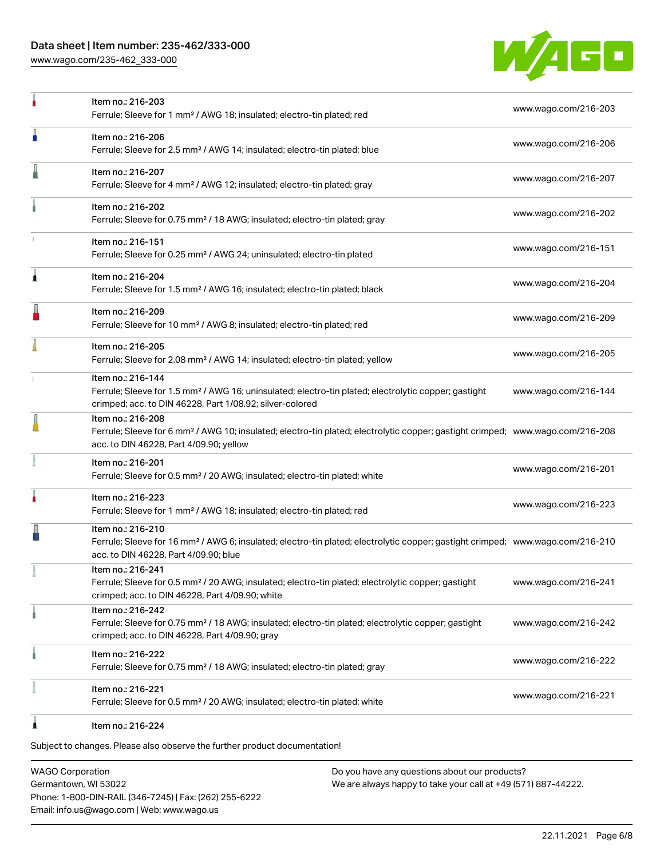### Data sheet | Item number: 235-462/333-000

[www.wago.com/235-462\\_333-000](http://www.wago.com/235-462_333-000)



| ٠ | Item no.: 216-203<br>Ferrule; Sleeve for 1 mm <sup>2</sup> / AWG 18; insulated; electro-tin plated; red                                                                                                    | www.wago.com/216-203 |
|---|------------------------------------------------------------------------------------------------------------------------------------------------------------------------------------------------------------|----------------------|
| n | Item no.: 216-206<br>Ferrule; Sleeve for 2.5 mm <sup>2</sup> / AWG 14; insulated; electro-tin plated; blue                                                                                                 | www.wago.com/216-206 |
| Ä | Item no.: 216-207<br>Ferrule; Sleeve for 4 mm <sup>2</sup> / AWG 12; insulated; electro-tin plated; gray                                                                                                   | www.wago.com/216-207 |
|   | Item no.: 216-202<br>Ferrule; Sleeve for 0.75 mm <sup>2</sup> / 18 AWG; insulated; electro-tin plated; gray                                                                                                | www.wago.com/216-202 |
|   | Item no.: 216-151<br>Ferrule; Sleeve for 0.25 mm <sup>2</sup> / AWG 24; uninsulated; electro-tin plated                                                                                                    | www.wago.com/216-151 |
| Â | Item no.: 216-204<br>Ferrule; Sleeve for 1.5 mm <sup>2</sup> / AWG 16; insulated; electro-tin plated; black                                                                                                | www.wago.com/216-204 |
|   | Item no.: 216-209<br>Ferrule; Sleeve for 10 mm <sup>2</sup> / AWG 8; insulated; electro-tin plated; red                                                                                                    | www.wago.com/216-209 |
|   | Item no.: 216-205<br>Ferrule; Sleeve for 2.08 mm <sup>2</sup> / AWG 14; insulated; electro-tin plated; yellow                                                                                              | www.wago.com/216-205 |
|   | Item no.: 216-144<br>Ferrule; Sleeve for 1.5 mm <sup>2</sup> / AWG 16; uninsulated; electro-tin plated; electrolytic copper; gastight<br>crimped; acc. to DIN 46228, Part 1/08.92; silver-colored          | www.wago.com/216-144 |
| I | Item no.: 216-208<br>Ferrule; Sleeve for 6 mm <sup>2</sup> / AWG 10; insulated; electro-tin plated; electrolytic copper; gastight crimped; www.wago.com/216-208<br>acc. to DIN 46228, Part 4/09.90; yellow |                      |
|   | Item no.: 216-201<br>Ferrule; Sleeve for 0.5 mm <sup>2</sup> / 20 AWG; insulated; electro-tin plated; white                                                                                                | www.wago.com/216-201 |
| ۸ | Item no.: 216-223<br>Ferrule; Sleeve for 1 mm <sup>2</sup> / AWG 18; insulated; electro-tin plated; red                                                                                                    | www.wago.com/216-223 |
|   | Item no.: 216-210<br>Ferrule; Sleeve for 16 mm <sup>2</sup> / AWG 6; insulated; electro-tin plated; electrolytic copper; gastight crimped; www.wago.com/216-210<br>acc. to DIN 46228, Part 4/09.90; blue   |                      |
|   | Item no.: 216-241<br>Ferrule; Sleeve for 0.5 mm <sup>2</sup> / 20 AWG; insulated; electro-tin plated; electrolytic copper; gastight<br>crimped; acc. to DIN 46228, Part 4/09.90; white                     | www.wago.com/216-241 |
|   | Item no.: 216-242<br>Ferrule; Sleeve for 0.75 mm <sup>2</sup> / 18 AWG; insulated; electro-tin plated; electrolytic copper; gastight<br>crimped; acc. to DIN 46228, Part 4/09.90; gray                     | www.wago.com/216-242 |
|   | Item no.: 216-222<br>Ferrule; Sleeve for 0.75 mm <sup>2</sup> / 18 AWG; insulated; electro-tin plated; gray                                                                                                | www.wago.com/216-222 |
|   | Item no.: 216-221<br>Ferrule; Sleeve for 0.5 mm <sup>2</sup> / 20 AWG; insulated; electro-tin plated; white                                                                                                | www.wago.com/216-221 |
|   | Item no.: 216-224                                                                                                                                                                                          |                      |

Subject to changes. Please also observe the further product documentation!

WAGO Corporation Germantown, WI 53022 Phone: 1-800-DIN-RAIL (346-7245) | Fax: (262) 255-6222 Email: info.us@wago.com | Web: www.wago.us

Do you have any questions about our products? We are always happy to take your call at +49 (571) 887-44222.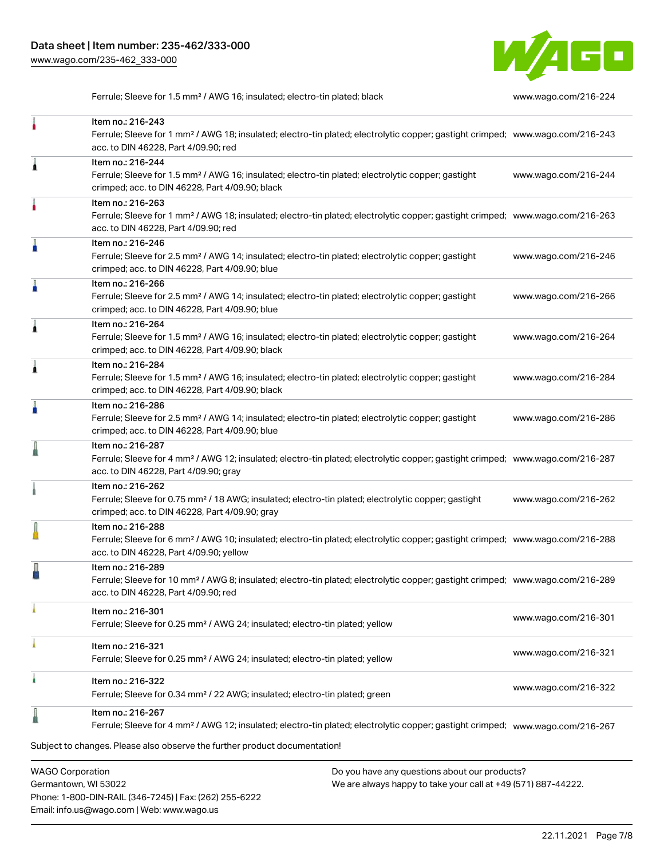

Ferrule; Sleeve for 1.5 mm² / AWG 16; insulated; electro-tin plated; black [www.wago.com/216-224](http://www.wago.com/216-224)

|                         | Item no.: 216-243<br>Ferrule; Sleeve for 1 mm <sup>2</sup> / AWG 18; insulated; electro-tin plated; electrolytic copper; gastight crimped; www.wago.com/216-243<br>acc. to DIN 46228, Part 4/09.90; red    |                                               |                      |
|-------------------------|------------------------------------------------------------------------------------------------------------------------------------------------------------------------------------------------------------|-----------------------------------------------|----------------------|
| 1                       | Item no.: 216-244<br>Ferrule; Sleeve for 1.5 mm <sup>2</sup> / AWG 16; insulated; electro-tin plated; electrolytic copper; gastight<br>crimped; acc. to DIN 46228, Part 4/09.90; black                     |                                               | www.wago.com/216-244 |
|                         | Item no.: 216-263<br>Ferrule; Sleeve for 1 mm <sup>2</sup> / AWG 18; insulated; electro-tin plated; electrolytic copper; gastight crimped; www.wago.com/216-263<br>acc. to DIN 46228, Part 4/09.90; red    |                                               |                      |
|                         | Item no.: 216-246<br>Ferrule; Sleeve for 2.5 mm <sup>2</sup> / AWG 14; insulated; electro-tin plated; electrolytic copper; gastight<br>crimped; acc. to DIN 46228, Part 4/09.90; blue                      |                                               | www.wago.com/216-246 |
| A                       | Item no.: 216-266<br>Ferrule; Sleeve for 2.5 mm <sup>2</sup> / AWG 14; insulated; electro-tin plated; electrolytic copper; gastight<br>crimped; acc. to DIN 46228, Part 4/09.90; blue                      |                                               | www.wago.com/216-266 |
|                         | Item no.: 216-264<br>Ferrule; Sleeve for 1.5 mm <sup>2</sup> / AWG 16; insulated; electro-tin plated; electrolytic copper; gastight<br>crimped; acc. to DIN 46228, Part 4/09.90; black                     |                                               | www.wago.com/216-264 |
|                         | Item no.: 216-284<br>Ferrule; Sleeve for 1.5 mm <sup>2</sup> / AWG 16; insulated; electro-tin plated; electrolytic copper; gastight<br>crimped; acc. to DIN 46228, Part 4/09.90; black                     |                                               | www.wago.com/216-284 |
|                         | Item no.: 216-286<br>Ferrule; Sleeve for 2.5 mm <sup>2</sup> / AWG 14; insulated; electro-tin plated; electrolytic copper; gastight<br>crimped; acc. to DIN 46228, Part 4/09.90; blue                      |                                               | www.wago.com/216-286 |
|                         | Item no.: 216-287<br>Ferrule; Sleeve for 4 mm <sup>2</sup> / AWG 12; insulated; electro-tin plated; electrolytic copper; gastight crimped; www.wago.com/216-287<br>acc. to DIN 46228, Part 4/09.90; gray   |                                               |                      |
|                         | Item no.: 216-262<br>Ferrule; Sleeve for 0.75 mm <sup>2</sup> / 18 AWG; insulated; electro-tin plated; electrolytic copper; gastight<br>crimped; acc. to DIN 46228, Part 4/09.90; gray                     |                                               | www.wago.com/216-262 |
|                         | Item no.: 216-288<br>Ferrule; Sleeve for 6 mm <sup>2</sup> / AWG 10; insulated; electro-tin plated; electrolytic copper; gastight crimped; www.wago.com/216-288<br>acc. to DIN 46228, Part 4/09.90; yellow |                                               |                      |
|                         | Item no.: 216-289<br>Ferrule; Sleeve for 10 mm <sup>2</sup> / AWG 8; insulated; electro-tin plated; electrolytic copper; gastight crimped; www.wago.com/216-289<br>acc. to DIN 46228, Part 4/09.90; red    |                                               |                      |
|                         | Item no.: 216-301<br>Ferrule; Sleeve for 0.25 mm <sup>2</sup> / AWG 24; insulated; electro-tin plated; yellow                                                                                              |                                               | www.wago.com/216-301 |
|                         | Item no.: 216-321<br>Ferrule; Sleeve for 0.25 mm <sup>2</sup> / AWG 24; insulated; electro-tin plated; yellow                                                                                              |                                               | www.wago.com/216-321 |
|                         | Item no.: 216-322<br>Ferrule; Sleeve for 0.34 mm <sup>2</sup> / 22 AWG; insulated; electro-tin plated; green                                                                                               |                                               | www.wago.com/216-322 |
|                         | Item no.: 216-267<br>Ferrule; Sleeve for 4 mm <sup>2</sup> / AWG 12; insulated; electro-tin plated; electrolytic copper; gastight crimped; www.wago.com/216-267                                            |                                               |                      |
| <b>WAGO Corporation</b> | Subject to changes. Please also observe the further product documentation!                                                                                                                                 | Do you have any questions about our products? |                      |

Germantown, WI 53022 Phone: 1-800-DIN-RAIL (346-7245) | Fax: (262) 255-6222 Email: info.us@wago.com | Web: www.wago.us

We are always happy to take your call at +49 (571) 887-44222.